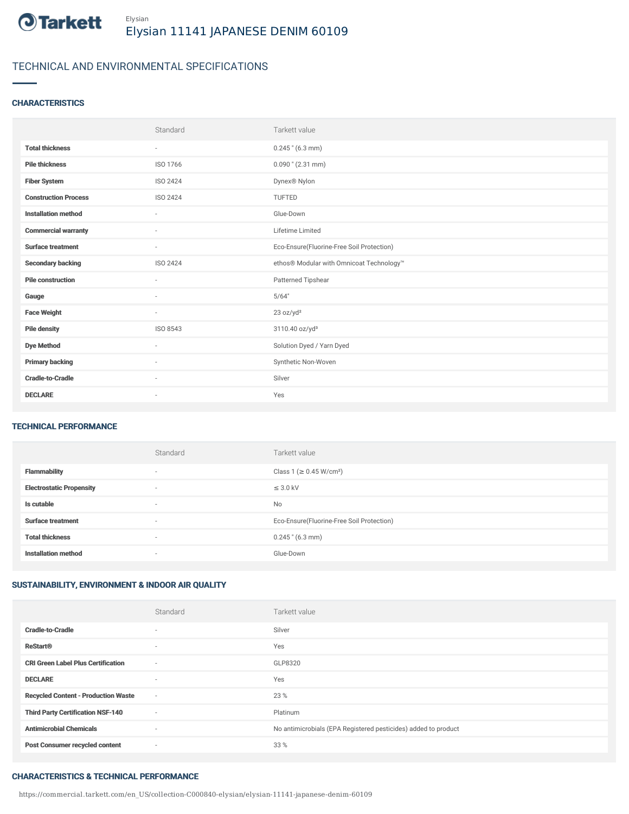

## TECHNICAL AND ENVIRONMENTAL SPECIFICATIONS

## **CHARACTERISTICS**

|                             | Standard                 | Tarkett value                             |
|-----------------------------|--------------------------|-------------------------------------------|
| <b>Total thickness</b>      | $\overline{\phantom{a}}$ | $0.245$ " (6.3 mm)                        |
| <b>Pile thickness</b>       | ISO 1766                 | $0.090$ " (2.31 mm)                       |
| <b>Fiber System</b>         | ISO 2424                 | Dynex® Nylon                              |
| <b>Construction Process</b> | <b>ISO 2424</b>          | TUFTED                                    |
| <b>Installation method</b>  | $\bar{ }$                | Glue-Down                                 |
| <b>Commercial warranty</b>  | $\sim$                   | Lifetime Limited                          |
| <b>Surface treatment</b>    | $\sim$                   | Eco-Ensure(Fluorine-Free Soil Protection) |
| <b>Secondary backing</b>    | <b>ISO 2424</b>          | ethos® Modular with Omnicoat Technology™  |
| <b>Pile construction</b>    | ٠                        | Patterned Tipshear                        |
| Gauge                       | $\sim$                   | 5/64"                                     |
| <b>Face Weight</b>          | $\overline{\phantom{a}}$ | 23 oz/yd <sup>2</sup>                     |
| <b>Pile density</b>         | ISO 8543                 | 3110.40 oz/yd <sup>3</sup>                |
| <b>Dye Method</b>           | ٠                        | Solution Dyed / Yarn Dyed                 |
| <b>Primary backing</b>      | $\sim$                   | Synthetic Non-Woven                       |
| <b>Cradle-to-Cradle</b>     | $\sim$                   | Silver                                    |
| <b>DECLARE</b>              | ٠                        | Yes                                       |

### TECHNICAL PERFORMANCE

|                                 | Standard                 | Tarkett value                             |
|---------------------------------|--------------------------|-------------------------------------------|
| <b>Flammability</b>             | $\overline{\phantom{a}}$ | Class 1 (≥ 0.45 W/cm <sup>2</sup> )       |
| <b>Electrostatic Propensity</b> | $\overline{\phantom{a}}$ | $\leq$ 3.0 kV                             |
| Is cutable                      | $\overline{\phantom{a}}$ | <b>No</b>                                 |
| <b>Surface treatment</b>        | $\overline{\phantom{a}}$ | Eco-Ensure(Fluorine-Free Soil Protection) |
| <b>Total thickness</b>          | $\overline{\phantom{a}}$ | $0.245$ " $(6.3 \text{ mm})$              |
| <b>Installation method</b>      | $\overline{\phantom{a}}$ | Glue-Down                                 |

## SUSTAINABILITY, ENVIRONMENT & INDOOR AIR QUALITY

|                                            | Standard                 | Tarkett value                                                  |
|--------------------------------------------|--------------------------|----------------------------------------------------------------|
| <b>Cradle-to-Cradle</b>                    | $\sim$                   | Silver                                                         |
| <b>ReStart®</b>                            | $\sim$                   | Yes                                                            |
| <b>CRI Green Label Plus Certification</b>  | $\sim$                   | GLP8320                                                        |
| <b>DECLARE</b>                             | $\sim$                   | Yes                                                            |
| <b>Recycled Content - Production Waste</b> | $\sim$                   | 23 %                                                           |
| <b>Third Party Certification NSF-140</b>   | $\sim$                   | Platinum                                                       |
| <b>Antimicrobial Chemicals</b>             | $\overline{\phantom{a}}$ | No antimicrobials (EPA Registered pesticides) added to product |
| <b>Post Consumer recycled content</b>      | $\overline{\phantom{a}}$ | 33 %                                                           |

#### CHARACTERISTICS & TECHNICAL PERFORMANCE